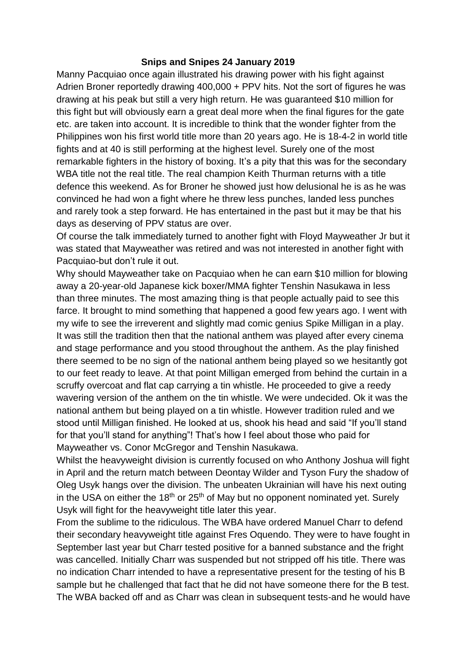## **Snips and Snipes 24 January 2019**

Manny Pacquiao once again illustrated his drawing power with his fight against Adrien Broner reportedly drawing 400,000 + PPV hits. Not the sort of figures he was drawing at his peak but still a very high return. He was guaranteed \$10 million for this fight but will obviously earn a great deal more when the final figures for the gate etc. are taken into account. It is incredible to think that the wonder fighter from the Philippines won his first world title more than 20 years ago. He is 18-4-2 in world title fights and at 40 is still performing at the highest level. Surely one of the most remarkable fighters in the history of boxing. It's a pity that this was for the secondary WBA title not the real title. The real champion Keith Thurman returns with a title defence this weekend. As for Broner he showed just how delusional he is as he was convinced he had won a fight where he threw less punches, landed less punches and rarely took a step forward. He has entertained in the past but it may be that his days as deserving of PPV status are over.

Of course the talk immediately turned to another fight with Floyd Mayweather Jr but it was stated that Mayweather was retired and was not interested in another fight with Pacquiao-but don't rule it out.

Why should Mayweather take on Pacquiao when he can earn \$10 million for blowing away a 20-year-old Japanese kick boxer/MMA fighter Tenshin Nasukawa in less than three minutes. The most amazing thing is that people actually paid to see this farce. It brought to mind something that happened a good few years ago. I went with my wife to see the irreverent and slightly mad comic genius Spike Milligan in a play. It was still the tradition then that the national anthem was played after every cinema and stage performance and you stood throughout the anthem. As the play finished there seemed to be no sign of the national anthem being played so we hesitantly got to our feet ready to leave. At that point Milligan emerged from behind the curtain in a scruffy overcoat and flat cap carrying a tin whistle. He proceeded to give a reedy wavering version of the anthem on the tin whistle. We were undecided. Ok it was the national anthem but being played on a tin whistle. However tradition ruled and we stood until Milligan finished. He looked at us, shook his head and said "If you'll stand for that you'll stand for anything"! That's how I feel about those who paid for Mayweather vs. Conor McGregor and Tenshin Nasukawa.

Whilst the heavyweight division is currently focused on who Anthony Joshua will fight in April and the return match between Deontay Wilder and Tyson Fury the shadow of Oleg Usyk hangs over the division. The unbeaten Ukrainian will have his next outing in the USA on either the 18<sup>th</sup> or  $25<sup>th</sup>$  of May but no opponent nominated yet. Surely Usyk will fight for the heavyweight title later this year.

From the sublime to the ridiculous. The WBA have ordered Manuel Charr to defend their secondary heavyweight title against Fres Oquendo. They were to have fought in September last year but Charr tested positive for a banned substance and the fright was cancelled. Initially Charr was suspended but not stripped off his title. There was no indication Charr intended to have a representative present for the testing of his B sample but he challenged that fact that he did not have someone there for the B test. The WBA backed off and as Charr was clean in subsequent tests-and he would have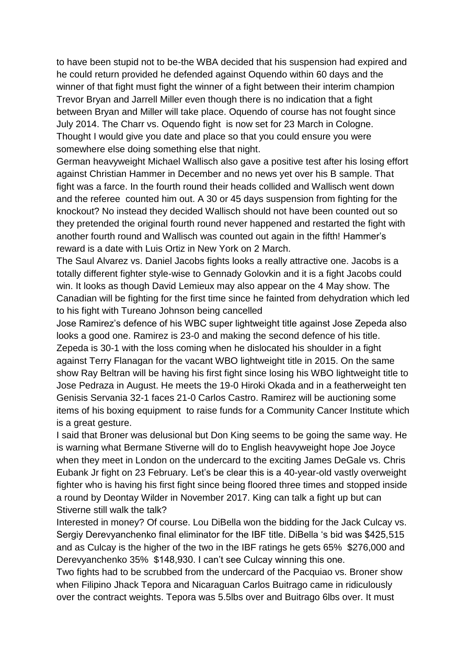to have been stupid not to be-the WBA decided that his suspension had expired and he could return provided he defended against Oquendo within 60 days and the winner of that fight must fight the winner of a fight between their interim champion Trevor Bryan and Jarrell Miller even though there is no indication that a fight between Bryan and Miller will take place. Oquendo of course has not fought since July 2014. The Charr vs. Oquendo fight is now set for 23 March in Cologne. Thought I would give you date and place so that you could ensure you were somewhere else doing something else that night.

German heavyweight Michael Wallisch also gave a positive test after his losing effort against Christian Hammer in December and no news yet over his B sample. That fight was a farce. In the fourth round their heads collided and Wallisch went down and the referee counted him out. A 30 or 45 days suspension from fighting for the knockout? No instead they decided Wallisch should not have been counted out so they pretended the original fourth round never happened and restarted the fight with another fourth round and Wallisch was counted out again in the fifth! Hammer's reward is a date with Luis Ortiz in New York on 2 March.

The Saul Alvarez vs. Daniel Jacobs fights looks a really attractive one. Jacobs is a totally different fighter style-wise to Gennady Golovkin and it is a fight Jacobs could win. It looks as though David Lemieux may also appear on the 4 May show. The Canadian will be fighting for the first time since he fainted from dehydration which led to his fight with Tureano Johnson being cancelled

Jose Ramirez's defence of his WBC super lightweight title against Jose Zepeda also looks a good one. Ramirez is 23-0 and making the second defence of his title. Zepeda is 30-1 with the loss coming when he dislocated his shoulder in a fight against Terry Flanagan for the vacant WBO lightweight title in 2015. On the same show Ray Beltran will be having his first fight since losing his WBO lightweight title to Jose Pedraza in August. He meets the 19-0 Hiroki Okada and in a featherweight ten Genisis Servania 32-1 faces 21-0 Carlos Castro. Ramirez will be auctioning some items of his boxing equipment to raise funds for a Community Cancer Institute which is a great gesture.

I said that Broner was delusional but Don King seems to be going the same way. He is warning what Bermane Stiverne will do to English heavyweight hope Joe Joyce when they meet in London on the undercard to the exciting James DeGale vs. Chris Eubank Jr fight on 23 February. Let's be clear this is a 40-year-old vastly overweight fighter who is having his first fight since being floored three times and stopped inside a round by Deontay Wilder in November 2017. King can talk a fight up but can Stiverne still walk the talk?

Interested in money? Of course. Lou DiBella won the bidding for the Jack Culcay vs. Sergiy Derevyanchenko final eliminator for the IBF title. DiBella 's bid was \$425,515 and as Culcay is the higher of the two in the IBF ratings he gets 65% \$276,000 and Derevyanchenko 35% \$148,930. I can't see Culcay winning this one.

Two fights had to be scrubbed from the undercard of the Pacquiao vs. Broner show when Filipino Jhack Tepora and Nicaraguan Carlos Buitrago came in ridiculously over the contract weights. Tepora was 5.5lbs over and Buitrago 6lbs over. It must